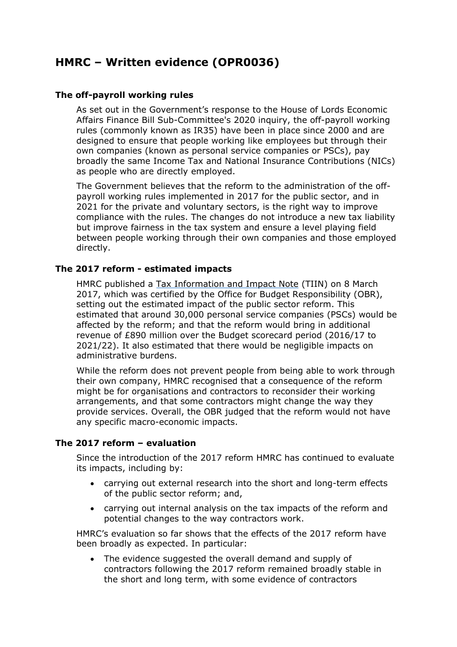# **HMRC – Written evidence (OPR0036)**

# **The off-payroll working rules**

As set out in the Government's response to the House of Lords Economic Affairs Finance Bill Sub-Committee's 2020 inquiry, the off-payroll working rules (commonly known as IR35) have been in place since 2000 and are designed to ensure that people working like employees but through their own companies (known as personal service companies or PSCs), pay broadly the same Income Tax and National Insurance Contributions (NICs) as people who are directly employed.

The Government believes that the reform to the administration of the offpayroll working rules implemented in 2017 for the public sector, and in 2021 for the private and voluntary sectors, is the right way to improve compliance with the rules. The changes do not introduce a new tax liability but improve fairness in the tax system and ensure a level playing field between people working through their own companies and those employed directly.

## **The 2017 reform - estimated impacts**

HMRC published a [Tax](https://www.gov.uk/government/publications/off-payroll-working-in-the-public-sector-changes-to-the-intermediaries-legislation/off-payroll-working-in-the-public-sector-changes-to-the-intermediaries-legislation) [Information](https://www.gov.uk/government/publications/off-payroll-working-in-the-public-sector-changes-to-the-intermediaries-legislation/off-payroll-working-in-the-public-sector-changes-to-the-intermediaries-legislation) [and](https://www.gov.uk/government/publications/off-payroll-working-in-the-public-sector-changes-to-the-intermediaries-legislation/off-payroll-working-in-the-public-sector-changes-to-the-intermediaries-legislation) [Impact](https://www.gov.uk/government/publications/off-payroll-working-in-the-public-sector-changes-to-the-intermediaries-legislation/off-payroll-working-in-the-public-sector-changes-to-the-intermediaries-legislation) [Note](https://www.gov.uk/government/publications/off-payroll-working-in-the-public-sector-changes-to-the-intermediaries-legislation/off-payroll-working-in-the-public-sector-changes-to-the-intermediaries-legislation) [\(](https://www.gov.uk/government/publications/off-payroll-working-in-the-public-sector-changes-to-the-intermediaries-legislation/off-payroll-working-in-the-public-sector-changes-to-the-intermediaries-legislation)TIIN) on 8 March 2017, which was certified by the Office for Budget Responsibility (OBR), setting out the estimated impact of the public sector reform. This estimated that around 30,000 personal service companies (PSCs) would be affected by the reform; and that the reform would bring in additional revenue of £890 million over the Budget scorecard period (2016/17 to 2021/22). It also estimated that there would be negligible impacts on administrative burdens.

While the reform does not prevent people from being able to work through their own company, HMRC recognised that a consequence of the reform might be for organisations and contractors to reconsider their working arrangements, and that some contractors might change the way they provide services. Overall, the OBR judged that the reform would not have any specific macro-economic impacts.

## **The 2017 reform – evaluation**

Since the introduction of the 2017 reform HMRC has continued to evaluate its impacts, including by:

- carrying out external research into the short and long-term effects of the public sector reform; and,
- carrying out internal analysis on the tax impacts of the reform and potential changes to the way contractors work.

HMRC's evaluation so far shows that the effects of the 2017 reform have been broadly as expected. In particular:

 The evidence suggested the overall demand and supply of contractors following the 2017 reform remained broadly stable in the short and long term, with some evidence of contractors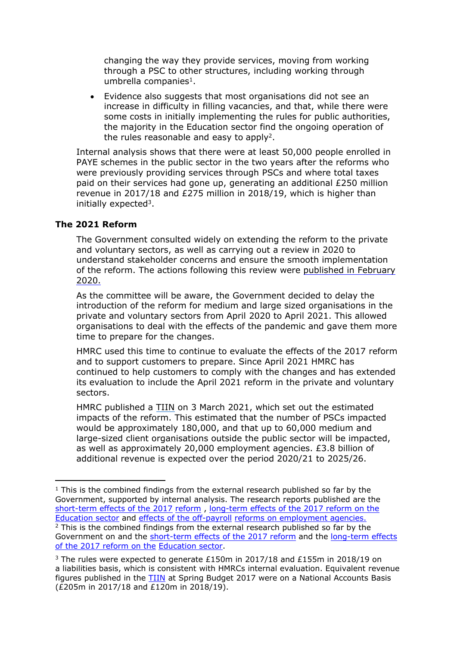changing the way they provide services, moving from working through a PSC to other structures, including working through umbrella companies<sup>1</sup>.

 Evidence also suggests that most organisations did not see an increase in difficulty in filling vacancies, and that, while there were some costs in initially implementing the rules for public authorities, the majority in the Education sector find the ongoing operation of the rules reasonable and easy to apply<sup>2</sup>.

Internal analysis shows that there were at least 50,000 people enrolled in PAYE schemes in the public sector in the two years after the reforms who were previously providing services through PSCs and where total taxes paid on their services had gone up, generating an additional £250 million revenue in 2017/18 and £275 million in 2018/19, which is higher than initially expected<sup>3</sup>.

# **The 2021 Reform**

The Government consulted widely on extending the reform to the private and voluntary sectors, as well as carrying out a review in 2020 to understand stakeholder concerns and ensure the smooth implementation of the reform. The actions following this review were [published](https://www.gov.uk/government/publications/review-of-changes-to-the-off-payroll-working-rules-report-and-conclusions) [in](https://www.gov.uk/government/publications/review-of-changes-to-the-off-payroll-working-rules-report-and-conclusions) [February](https://www.gov.uk/government/publications/review-of-changes-to-the-off-payroll-working-rules-report-and-conclusions) [2020.](https://www.gov.uk/government/publications/review-of-changes-to-the-off-payroll-working-rules-report-and-conclusions)

As the committee will be aware, the Government decided to delay the introduction of the reform for medium and large sized organisations in the private and voluntary sectors from April 2020 to April 2021. This allowed organisations to deal with the effects of the pandemic and gave them more time to prepare for the changes.

HMRC used this time to continue to evaluate the effects of the 2017 reform and to support customers to prepare. Since April 2021 HMRC has continued to help customers to comply with the changes and has extended its evaluation to include the April 2021 reform in the private and voluntary sectors.

HMRC published a [TIIN](https://www.gov.uk/government/publications/off-payroll-working-rules-from-april-2021/off-payroll-working-rules-from-april-2021) [o](https://www.gov.uk/government/publications/off-payroll-working-rules-from-april-2021/off-payroll-working-rules-from-april-2021)n 3 March 2021, which set out the estimated impacts of the reform. This estimated that the number of PSCs impacted would be approximately 180,000, and that up to 60,000 medium and large-sized client organisations outside the public sector will be impacted, as well as approximately 20,000 employment agencies. £3.8 billion of additional revenue is expected over the period 2020/21 to 2025/26.

 $1$  This is the combined findings from the external research published so far by the Government, supported by internal analysis. The research reports published are the [short-term](https://www.gov.uk/government/publications/off-payroll-reform-in-the-public-sector) [effects](https://www.gov.uk/government/publications/off-payroll-reform-in-the-public-sector) [of](https://www.gov.uk/government/publications/off-payroll-reform-in-the-public-sector) [the](https://www.gov.uk/government/publications/off-payroll-reform-in-the-public-sector) [2017](https://www.gov.uk/government/publications/off-payroll-reform-in-the-public-sector) [reform](https://www.gov.uk/government/publications/off-payroll-reform-in-the-public-sector) [,](https://www.gov.uk/government/publications/off-payroll-reform-in-the-public-sector) [long-term](https://www.gov.uk/government/publications/effects-of-the-off-payroll-working-reform-education-report) [effects](https://www.gov.uk/government/publications/effects-of-the-off-payroll-working-reform-education-report) [of](https://www.gov.uk/government/publications/effects-of-the-off-payroll-working-reform-education-report) [the](https://www.gov.uk/government/publications/effects-of-the-off-payroll-working-reform-education-report) [2017](https://www.gov.uk/government/publications/effects-of-the-off-payroll-working-reform-education-report) [reform](https://www.gov.uk/government/publications/effects-of-the-off-payroll-working-reform-education-report) [on](https://www.gov.uk/government/publications/effects-of-the-off-payroll-working-reform-education-report) [the](https://www.gov.uk/government/publications/effects-of-the-off-payroll-working-reform-education-report) [Education](https://www.gov.uk/government/publications/effects-of-the-off-payroll-working-reform-education-report) [sector](https://www.gov.uk/government/publications/effects-of-the-off-payroll-working-reform-education-report) and [effects](https://www.gov.uk/government/publications/effects-of-the-off-payroll-working-reforms-on-employment-agencies) [of](https://www.gov.uk/government/publications/effects-of-the-off-payroll-working-reforms-on-employment-agencies) [the](https://www.gov.uk/government/publications/effects-of-the-off-payroll-working-reforms-on-employment-agencies) [off-payroll](https://www.gov.uk/government/publications/effects-of-the-off-payroll-working-reforms-on-employment-agencies) [reforms](https://www.gov.uk/government/publications/effects-of-the-off-payroll-working-reforms-on-employment-agencies) [on](https://www.gov.uk/government/publications/effects-of-the-off-payroll-working-reforms-on-employment-agencies) [employment](https://www.gov.uk/government/publications/effects-of-the-off-payroll-working-reforms-on-employment-agencies) [agencies.](https://www.gov.uk/government/publications/effects-of-the-off-payroll-working-reforms-on-employment-agencies) <sup>2</sup> This is the combined findings from the external research published so far by the Government on and the [short-term](https://www.gov.uk/government/publications/off-payroll-reform-in-the-public-sector) [effects](https://www.gov.uk/government/publications/off-payroll-reform-in-the-public-sector) [of](https://www.gov.uk/government/publications/off-payroll-reform-in-the-public-sector) [the](https://www.gov.uk/government/publications/off-payroll-reform-in-the-public-sector) [2017](https://www.gov.uk/government/publications/off-payroll-reform-in-the-public-sector) [reform](https://www.gov.uk/government/publications/off-payroll-reform-in-the-public-sector) and the [long-term](https://www.gov.uk/government/publications/effects-of-the-off-payroll-working-reform-education-report) [effects](https://www.gov.uk/government/publications/effects-of-the-off-payroll-working-reform-education-report) [of](https://www.gov.uk/government/publications/effects-of-the-off-payroll-working-reform-education-report) [the](https://www.gov.uk/government/publications/effects-of-the-off-payroll-working-reform-education-report) [2017](https://www.gov.uk/government/publications/effects-of-the-off-payroll-working-reform-education-report) [reform](https://www.gov.uk/government/publications/effects-of-the-off-payroll-working-reform-education-report) [on](https://www.gov.uk/government/publications/effects-of-the-off-payroll-working-reform-education-report) [the](https://www.gov.uk/government/publications/effects-of-the-off-payroll-working-reform-education-report) [Education](https://www.gov.uk/government/publications/effects-of-the-off-payroll-working-reform-education-report) [sector.](https://www.gov.uk/government/publications/effects-of-the-off-payroll-working-reform-education-report)

<sup>&</sup>lt;sup>3</sup> The rules were expected to generate £150m in 2017/18 and £155m in 2018/19 on a liabilities basis, which is consistent with HMRCs internal evaluation. Equivalent revenue figures published in the [TIIN](https://www.gov.uk/government/publications/off-payroll-working-in-the-public-sector-changes-to-the-intermediaries-legislation/off-payroll-working-in-the-public-sector-changes-to-the-intermediaries-legislation) at Spring Budget 2017 were on a National Accounts Basis (£205m in 2017/18 and £120m in 2018/19).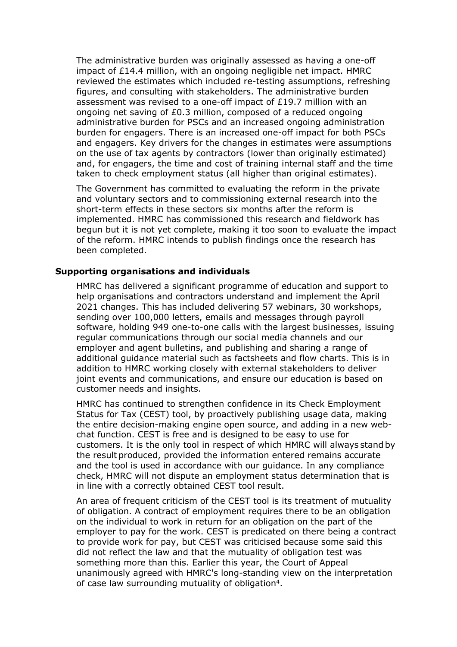The administrative burden was originally assessed as having a one-off impact of £14.4 million, with an ongoing negligible net impact. HMRC reviewed the estimates which included re-testing assumptions, refreshing figures, and consulting with stakeholders. The administrative burden assessment was revised to a one-off impact of £19.7 million with an ongoing net saving of £0.3 million, composed of a reduced ongoing administrative burden for PSCs and an increased ongoing administration burden for engagers. There is an increased one-off impact for both PSCs and engagers. Key drivers for the changes in estimates were assumptions on the use of tax agents by contractors (lower than originally estimated) and, for engagers, the time and cost of training internal staff and the time taken to check employment status (all higher than original estimates).

The Government has committed to evaluating the reform in the private and voluntary sectors and to commissioning external research into the short-term effects in these sectors six months after the reform is implemented. HMRC has commissioned this research and fieldwork has begun but it is not yet complete, making it too soon to evaluate the impact of the reform. HMRC intends to publish findings once the research has been completed.

#### **Supporting organisations and individuals**

HMRC has delivered a significant programme of education and support to help organisations and contractors understand and implement the April 2021 changes. This has included delivering 57 webinars, 30 workshops, sending over 100,000 letters, emails and messages through payroll software, holding 949 one-to-one calls with the largest businesses, issuing regular communications through our social media channels and our employer and agent bulletins, and publishing and sharing a range of additional guidance material such as factsheets and flow charts. This is in addition to HMRC working closely with external stakeholders to deliver joint events and communications, and ensure our education is based on customer needs and insights.

HMRC has continued to strengthen confidence in its Check Employment Status for Tax (CEST) tool, by proactively publishing usage data, making the entire decision-making engine open source, and adding in a new webchat function. CEST is free and is designed to be easy to use for customers. It is the only tool in respect of which HMRC will always stand by the result produced, provided the information entered remains accurate and the tool is used in accordance with our guidance. In any compliance check, HMRC will not dispute an employment status determination that is in line with a correctly obtained CEST tool result.

An area of frequent criticism of the CEST tool is its treatment of mutuality of obligation. A contract of employment requires there to be an obligation on the individual to work in return for an obligation on the part of the employer to pay for the work. CEST is predicated on there being a contract to provide work for pay, but CEST was criticised because some said this did not reflect the law and that the mutuality of obligation test was something more than this. Earlier this year, the Court of Appeal unanimously agreed with HMRC's long-standing view on the interpretation of case law surrounding mutuality of obligation<sup>4</sup>.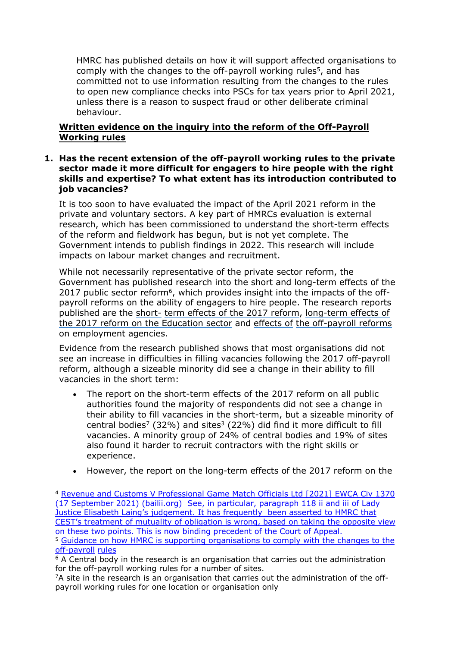HMRC has published details on how it will support affected organisations to comply with the changes to the off-payroll working rules<sup>5</sup>, and has committed not to use information resulting from the changes to the rules to open new compliance checks into PSCs for tax years prior to April 2021, unless there is a reason to suspect fraud or other deliberate criminal behaviour.

# **Written evidence on the inquiry into the reform of the Off-Payroll Working rules**

## **1. Has the recent extension of the off-payroll working rules to the private sector made it more difficult for engagers to hire people with the right skills and expertise? To what extent has its introduction contributed to job vacancies?**

It is too soon to have evaluated the impact of the April 2021 reform in the private and voluntary sectors. A key part of HMRCs evaluation is external research, which has been commissioned to understand the short-term effects of the reform and fieldwork has begun, but is not yet complete. The Government intends to publish findings in 2022. This research will include impacts on labour market changes and recruitment.

While not necessarily representative of the private sector reform, the Government has published research into the short and long-term effects of the 2017 public sector reform<sup>6</sup>, which provides insight into the impacts of the offpayroll reforms on the ability of engagers to hire people. The research reports published are the [short-](https://www.gov.uk/government/publications/off-payroll-reform-in-the-public-sector) [term](https://www.gov.uk/government/publications/off-payroll-reform-in-the-public-sector) [effects](https://www.gov.uk/government/publications/off-payroll-reform-in-the-public-sector) [of](https://www.gov.uk/government/publications/off-payroll-reform-in-the-public-sector) [the](https://www.gov.uk/government/publications/off-payroll-reform-in-the-public-sector) [2017](https://www.gov.uk/government/publications/off-payroll-reform-in-the-public-sector) [reform,](https://www.gov.uk/government/publications/off-payroll-reform-in-the-public-sector) [long-term](https://www.gov.uk/government/publications/effects-of-the-off-payroll-working-reform-education-report) [effects](https://www.gov.uk/government/publications/effects-of-the-off-payroll-working-reform-education-report) [of](https://www.gov.uk/government/publications/effects-of-the-off-payroll-working-reform-education-report) [the](https://www.gov.uk/government/publications/effects-of-the-off-payroll-working-reform-education-report) [2017](https://www.gov.uk/government/publications/effects-of-the-off-payroll-working-reform-education-report) [reform](https://www.gov.uk/government/publications/effects-of-the-off-payroll-working-reform-education-report) [on](https://www.gov.uk/government/publications/effects-of-the-off-payroll-working-reform-education-report) [the](https://www.gov.uk/government/publications/effects-of-the-off-payroll-working-reform-education-report) [Education](https://www.gov.uk/government/publications/effects-of-the-off-payroll-working-reform-education-report) [sector](https://www.gov.uk/government/publications/effects-of-the-off-payroll-working-reform-education-report) and [effects](https://www.gov.uk/government/publications/effects-of-the-off-payroll-working-reforms-on-employment-agencies) [of](https://www.gov.uk/government/publications/effects-of-the-off-payroll-working-reforms-on-employment-agencies) [the](https://www.gov.uk/government/publications/effects-of-the-off-payroll-working-reforms-on-employment-agencies) [off-payroll](https://www.gov.uk/government/publications/effects-of-the-off-payroll-working-reforms-on-employment-agencies) [reforms](https://www.gov.uk/government/publications/effects-of-the-off-payroll-working-reforms-on-employment-agencies) [on](https://www.gov.uk/government/publications/effects-of-the-off-payroll-working-reforms-on-employment-agencies) [employment](https://www.gov.uk/government/publications/effects-of-the-off-payroll-working-reforms-on-employment-agencies) [agencies.](https://www.gov.uk/government/publications/effects-of-the-off-payroll-working-reforms-on-employment-agencies)

Evidence from the research published shows that most organisations did not see an increase in difficulties in filling vacancies following the 2017 off-payroll reform, although a sizeable minority did see a change in their ability to fill vacancies in the short term:

- The report on the short-term effects of the 2017 reform on all public authorities found the majority of respondents did not see a change in their ability to fill vacancies in the short-term, but a sizeable minority of central bodies<sup>7</sup> (32%) and sites<sup>3</sup> (22%) did find it more difficult to fill vacancies. A minority group of 24% of central bodies and 19% of sites also found it harder to recruit contractors with the right skills or experience.
- However, the report on the long-term effects of the 2017 reform on the

<sup>7</sup>A site in the research is an organisation that carries out the administration of the offpayroll working rules for one location or organisation only

<sup>4</sup> [Revenue](https://www.bailii.org/ew/cases/EWCA/Civ/2021/1370.html) [and](https://www.bailii.org/ew/cases/EWCA/Civ/2021/1370.html) [Customs](https://www.bailii.org/ew/cases/EWCA/Civ/2021/1370.html) [V](https://www.bailii.org/ew/cases/EWCA/Civ/2021/1370.html) [Professional](https://www.bailii.org/ew/cases/EWCA/Civ/2021/1370.html) [Game](https://www.bailii.org/ew/cases/EWCA/Civ/2021/1370.html) [Match](https://www.bailii.org/ew/cases/EWCA/Civ/2021/1370.html) [Officials](https://www.bailii.org/ew/cases/EWCA/Civ/2021/1370.html) [Ltd](https://www.bailii.org/ew/cases/EWCA/Civ/2021/1370.html) [\[2021\]](https://www.bailii.org/ew/cases/EWCA/Civ/2021/1370.html) [EWCA](https://www.bailii.org/ew/cases/EWCA/Civ/2021/1370.html) [Civ](https://www.bailii.org/ew/cases/EWCA/Civ/2021/1370.html) [1370](https://www.bailii.org/ew/cases/EWCA/Civ/2021/1370.html) [\(17](https://www.bailii.org/ew/cases/EWCA/Civ/2021/1370.html) [September](https://www.bailii.org/ew/cases/EWCA/Civ/2021/1370.html) [2021\)](https://www.bailii.org/ew/cases/EWCA/Civ/2021/1370.html) [\(bailii.org\)](https://www.bailii.org/ew/cases/EWCA/Civ/2021/1370.html) See, in particular, paragraph 118 ii and iii of Lady Justice Elisabeth Laing's judgement. It has frequently been asserted to HMRC that CEST's treatment of mutuality of obligation is wrong, based on taking the opposite view on these two points. This is now binding precedent of the Court of Appeal. <sup>5</sup> [Guidance](https://www.gov.uk/government/publications/hmrc-issue-briefing-supporting-organisations-to-comply-with-changes-to-the-off-payroll-working-rules-ir35) [on](https://www.gov.uk/government/publications/hmrc-issue-briefing-supporting-organisations-to-comply-with-changes-to-the-off-payroll-working-rules-ir35) [how](https://www.gov.uk/government/publications/hmrc-issue-briefing-supporting-organisations-to-comply-with-changes-to-the-off-payroll-working-rules-ir35) [HMRC](https://www.gov.uk/government/publications/hmrc-issue-briefing-supporting-organisations-to-comply-with-changes-to-the-off-payroll-working-rules-ir35) [is](https://www.gov.uk/government/publications/hmrc-issue-briefing-supporting-organisations-to-comply-with-changes-to-the-off-payroll-working-rules-ir35) [supporting](https://www.gov.uk/government/publications/hmrc-issue-briefing-supporting-organisations-to-comply-with-changes-to-the-off-payroll-working-rules-ir35) [organisations](https://www.gov.uk/government/publications/hmrc-issue-briefing-supporting-organisations-to-comply-with-changes-to-the-off-payroll-working-rules-ir35) [to](https://www.gov.uk/government/publications/hmrc-issue-briefing-supporting-organisations-to-comply-with-changes-to-the-off-payroll-working-rules-ir35) [comply](https://www.gov.uk/government/publications/hmrc-issue-briefing-supporting-organisations-to-comply-with-changes-to-the-off-payroll-working-rules-ir35) [with](https://www.gov.uk/government/publications/hmrc-issue-briefing-supporting-organisations-to-comply-with-changes-to-the-off-payroll-working-rules-ir35) [the](https://www.gov.uk/government/publications/hmrc-issue-briefing-supporting-organisations-to-comply-with-changes-to-the-off-payroll-working-rules-ir35) [changes](https://www.gov.uk/government/publications/hmrc-issue-briefing-supporting-organisations-to-comply-with-changes-to-the-off-payroll-working-rules-ir35) [to](https://www.gov.uk/government/publications/hmrc-issue-briefing-supporting-organisations-to-comply-with-changes-to-the-off-payroll-working-rules-ir35) [the](https://www.gov.uk/government/publications/hmrc-issue-briefing-supporting-organisations-to-comply-with-changes-to-the-off-payroll-working-rules-ir35) [off-payroll](https://www.gov.uk/government/publications/hmrc-issue-briefing-supporting-organisations-to-comply-with-changes-to-the-off-payroll-working-rules-ir35) [rules](https://www.gov.uk/government/publications/hmrc-issue-briefing-supporting-organisations-to-comply-with-changes-to-the-off-payroll-working-rules-ir35)

 $6$  A Central body in the research is an organisation that carries out the administration for the off-payroll working rules for a number of sites.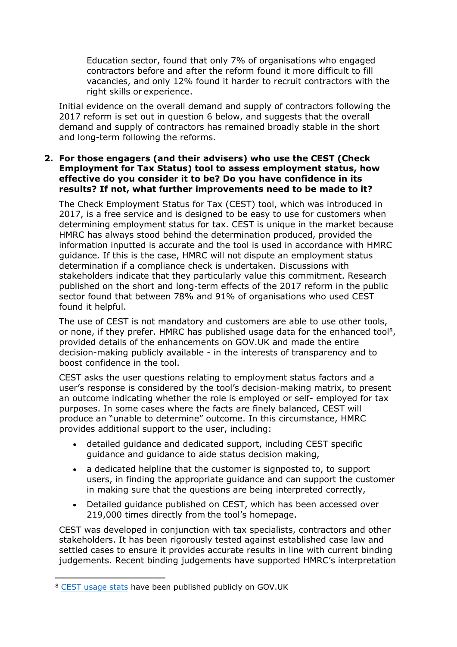Education sector, found that only 7% of organisations who engaged contractors before and after the reform found it more difficult to fill vacancies, and only 12% found it harder to recruit contractors with the right skills or experience.

Initial evidence on the overall demand and supply of contractors following the 2017 reform is set out in question 6 below, and suggests that the overall demand and supply of contractors has remained broadly stable in the short and long-term following the reforms.

## **2. For those engagers (and their advisers) who use the CEST (Check Employment for Tax Status) tool to assess employment status, how effective do you consider it to be? Do you have confidence in its results? If not, what further improvements need to be made to it?**

The Check Employment Status for Tax (CEST) tool, which was introduced in 2017, is a free service and is designed to be easy to use for customers when determining employment status for tax. CEST is unique in the market because HMRC has always stood behind the determination produced, provided the information inputted is accurate and the tool is used in accordance with HMRC guidance. If this is the case, HMRC will not dispute an employment status determination if a compliance check is undertaken. Discussions with stakeholders indicate that they particularly value this commitment. Research published on the short and long-term effects of the 2017 reform in the public sector found that between 78% and 91% of organisations who used CEST found it helpful.

The use of CEST is not mandatory and customers are able to use other tools, or none, if they prefer. HMRC has published usage data for the enhanced tool<sup>8</sup>, provided details of the enhancements on GOV.UK and made the entire decision-making publicly available - in the interests of transparency and to boost confidence in the tool.

CEST asks the user questions relating to employment status factors and a user's response is considered by the tool's decision-making matrix, to present an outcome indicating whether the role is employed or self- employed for tax purposes. In some cases where the facts are finely balanced, CEST will produce an "unable to determine" outcome. In this circumstance, HMRC provides additional support to the user, including:

- detailed guidance and dedicated support, including CEST specific guidance and guidance to aide status decision making,
- a dedicated helpline that the customer is signposted to, to support users, in finding the appropriate guidance and can support the customer in making sure that the questions are being interpreted correctly,
- Detailed guidance published on CEST, which has been accessed over 219,000 times directly from the tool's homepage.

CEST was developed in conjunction with tax specialists, contractors and other stakeholders. It has been rigorously tested against established case law and settled cases to ensure it provides accurate results in line with current binding judgements. Recent binding judgements have supported HMRC's interpretation

<sup>8</sup> [CEST](https://www.gov.uk/government/publications/check-employment-status-for-tax-cest-2019-enhancement/check-employment-status-for-tax-cest-usage-data) [usage](https://www.gov.uk/government/publications/check-employment-status-for-tax-cest-2019-enhancement/check-employment-status-for-tax-cest-usage-data) [stats](https://www.gov.uk/government/publications/check-employment-status-for-tax-cest-2019-enhancement/check-employment-status-for-tax-cest-usage-data) [h](https://www.gov.uk/government/publications/check-employment-status-for-tax-cest-2019-enhancement/check-employment-status-for-tax-cest-usage-data)ave been published publicly on GOV.UK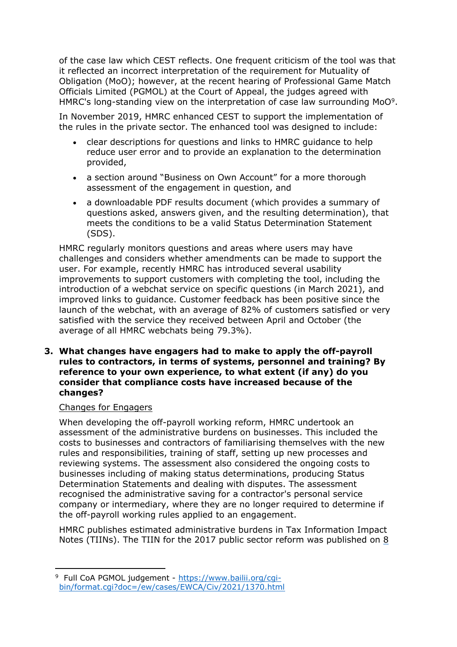of the case law which CEST reflects. One frequent criticism of the tool was that it reflected an incorrect interpretation of the requirement for Mutuality of Obligation (MoO); however, at the recent hearing of Professional Game Match Officials Limited (PGMOL) at the Court of Appeal, the judges agreed with HMRC's long-standing view on the interpretation of case law surrounding MoO<sup>9</sup>.

In November 2019, HMRC enhanced CEST to support the implementation of the rules in the private sector. The enhanced tool was designed to include:

- clear descriptions for questions and links to HMRC guidance to help reduce user error and to provide an explanation to the determination provided,
- a section around "Business on Own Account" for a more thorough assessment of the engagement in question, and
- a downloadable PDF results document (which provides a summary of questions asked, answers given, and the resulting determination), that meets the conditions to be a valid Status Determination Statement (SDS).

HMRC regularly monitors questions and areas where users may have challenges and considers whether amendments can be made to support the user. For example, recently HMRC has introduced several usability improvements to support customers with completing the tool, including the introduction of a webchat service on specific questions (in March 2021), and improved links to guidance. Customer feedback has been positive since the launch of the webchat, with an average of 82% of customers satisfied or very satisfied with the service they received between April and October (the average of all HMRC webchats being 79.3%).

**3. What changes have engagers had to make to apply the off-payroll rules to contractors, in terms of systems, personnel and training? By reference to your own experience, to what extent (if any) do you consider that compliance costs have increased because of the changes?**

## Changes for Engagers

When developing the off-payroll working reform, HMRC undertook an assessment of the administrative burdens on businesses. This included the costs to businesses and contractors of familiarising themselves with the new rules and responsibilities, training of staff, setting up new processes and reviewing systems. The assessment also considered the ongoing costs to businesses including of making status determinations, producing Status Determination Statements and dealing with disputes. The assessment recognised the administrative saving for a contractor's personal service company or intermediary, where they are no longer required to determine if the off-payroll working rules applied to an engagement.

HMRC publishes estimated administrative burdens in Tax Information Impact Notes (TIINs). The TIIN for the 2017 public sector reform was published on [8](https://www.gov.uk/government/publications/off-payroll-working-in-the-public-sector-changes-to-the-intermediaries-legislation/off-payroll-working-in-the-public-sector-changes-to-the-intermediaries-legislation)

<sup>9</sup> Full CoA PGMOL judgement - https://www.bailii.org/cgibin/format.cgi?doc=/ew/cases/EWCA/Civ/2021/1370.html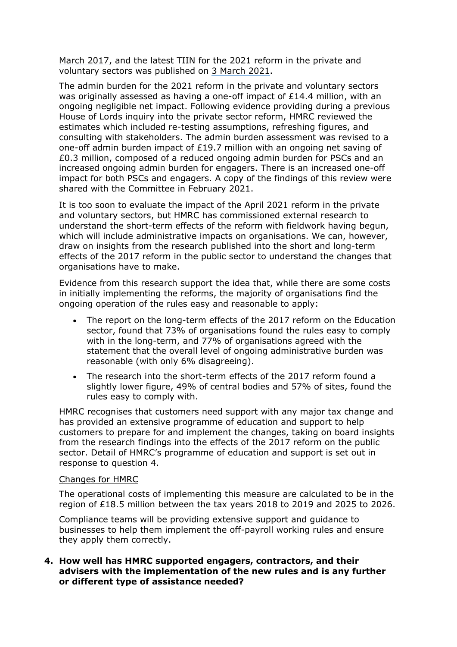[March](https://www.gov.uk/government/publications/off-payroll-working-in-the-public-sector-changes-to-the-intermediaries-legislation/off-payroll-working-in-the-public-sector-changes-to-the-intermediaries-legislation) [2017,](https://www.gov.uk/government/publications/off-payroll-working-in-the-public-sector-changes-to-the-intermediaries-legislation/off-payroll-working-in-the-public-sector-changes-to-the-intermediaries-legislation) [a](https://www.gov.uk/government/publications/off-payroll-working-in-the-public-sector-changes-to-the-intermediaries-legislation/off-payroll-working-in-the-public-sector-changes-to-the-intermediaries-legislation)nd the latest TIIN for the 2021 reform in the private and voluntary sectors was published on [3](https://www.gov.uk/government/publications/off-payroll-working-rules-from-april-2021/off-payroll-working-rules-from-april-2021) [March](https://www.gov.uk/government/publications/off-payroll-working-rules-from-april-2021/off-payroll-working-rules-from-april-2021) [2021.](https://www.gov.uk/government/publications/off-payroll-working-rules-from-april-2021/off-payroll-working-rules-from-april-2021)

The admin burden for the 2021 reform in the private and voluntary sectors was originally assessed as having a one-off impact of £14.4 million, with an ongoing negligible net impact. Following evidence providing during a previous House of Lords inquiry into the private sector reform, HMRC reviewed the estimates which included re-testing assumptions, refreshing figures, and consulting with stakeholders. The admin burden assessment was revised to a one-off admin burden impact of £19.7 million with an ongoing net saving of £0.3 million, composed of a reduced ongoing admin burden for PSCs and an increased ongoing admin burden for engagers. There is an increased one-off impact for both PSCs and engagers. A copy of the findings of this review were shared with the Committee in February 2021.

It is too soon to evaluate the impact of the April 2021 reform in the private and voluntary sectors, but HMRC has commissioned external research to understand the short-term effects of the reform with fieldwork having begun, which will include administrative impacts on organisations. We can, however, draw on insights from the research published into the short and long-term effects of the 2017 reform in the public sector to understand the changes that organisations have to make.

Evidence from this research support the idea that, while there are some costs in initially implementing the reforms, the majority of organisations find the ongoing operation of the rules easy and reasonable to apply:

- The report on the long-term effects of the 2017 reform on the Education sector, found that 73% of organisations found the rules easy to comply with in the long-term, and 77% of organisations agreed with the statement that the overall level of ongoing administrative burden was reasonable (with only 6% disagreeing).
- The research into the short-term effects of the 2017 reform found a slightly lower figure, 49% of central bodies and 57% of sites, found the rules easy to comply with.

HMRC recognises that customers need support with any major tax change and has provided an extensive programme of education and support to help customers to prepare for and implement the changes, taking on board insights from the research findings into the effects of the 2017 reform on the public sector. Detail of HMRC's programme of education and support is set out in response to question 4.

#### Changes for HMRC

The operational costs of implementing this measure are calculated to be in the region of £18.5 million between the tax years 2018 to 2019 and 2025 to 2026.

Compliance teams will be providing extensive support and guidance to businesses to help them implement the off-payroll working rules and ensure they apply them correctly.

**4. How well has HMRC supported engagers, contractors, and their advisers with the implementation of the new rules and is any further or different type of assistance needed?**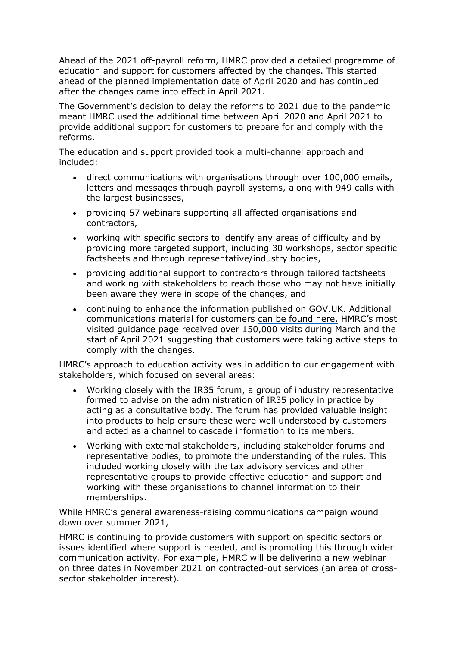Ahead of the 2021 off-payroll reform, HMRC provided a detailed programme of education and support for customers affected by the changes. This started ahead of the planned implementation date of April 2020 and has continued after the changes came into effect in April 2021.

The Government's decision to delay the reforms to 2021 due to the pandemic meant HMRC used the additional time between April 2020 and April 2021 to provide additional support for customers to prepare for and comply with the reforms.

The education and support provided took a multi-channel approach and included:

- direct communications with organisations through over 100,000 emails, letters and messages through payroll systems, along with 949 calls with the largest businesses,
- providing 57 webinars supporting all affected organisations and contractors,
- working with specific sectors to identify any areas of difficulty and by providing more targeted support, including 30 workshops, sector specific factsheets and through representative/industry bodies,
- providing additional support to contractors through tailored factsheets and working with stakeholders to reach those who may not have initially been aware they were in scope of the changes, and
- continuing to enhance the information [published](https://www.gov.uk/topic/business-tax/ir35) [on](https://www.gov.uk/topic/business-tax/ir35) [GOV.UK.](https://www.gov.uk/topic/business-tax/ir35) [A](https://www.gov.uk/topic/business-tax/ir35)dditional communications material for customer[s](https://www.gov.uk/government/publications/off-payroll-working-rules-communication-resources) [can](https://www.gov.uk/government/publications/off-payroll-working-rules-communication-resources) [be](https://www.gov.uk/government/publications/off-payroll-working-rules-communication-resources) [found](https://www.gov.uk/government/publications/off-payroll-working-rules-communication-resources) [here.](https://www.gov.uk/government/publications/off-payroll-working-rules-communication-resources) HMRC's most visited guidance page received over 150,000 visits during March and the start of April 2021 suggesting that customers were taking active steps to comply with the changes.

HMRC's approach to education activity was in addition to our engagement with stakeholders, which focused on several areas:

- Working closely with the IR35 forum, a group of industry representative formed to advise on the administration of IR35 policy in practice by acting as a consultative body. The forum has provided valuable insight into products to help ensure these were well understood by customers and acted as a channel to cascade information to its members.
- Working with external stakeholders, including stakeholder forums and representative bodies, to promote the understanding of the rules. This included working closely with the tax advisory services and other representative groups to provide effective education and support and working with these organisations to channel information to their memberships.

While HMRC's general awareness-raising communications campaign wound down over summer 2021,

HMRC is continuing to provide customers with support on specific sectors or issues identified where support is needed, and is promoting this through wider communication activity. For example, HMRC will be delivering a new webinar on three dates in November 2021 on contracted-out services (an area of crosssector stakeholder interest).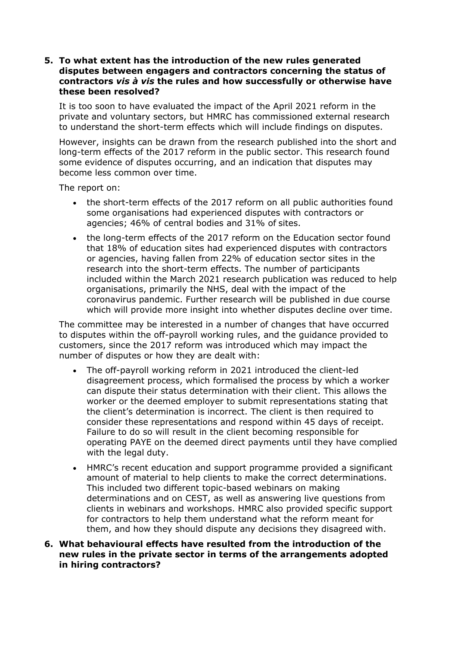#### **5. To what extent has the introduction of the new rules generated disputes between engagers and contractors concerning the status of contractors** *vis à vis* **the rules and how successfully or otherwise have these been resolved?**

It is too soon to have evaluated the impact of the April 2021 reform in the private and voluntary sectors, but HMRC has commissioned external research to understand the short-term effects which will include findings on disputes.

However, insights can be drawn from the research published into the short and long-term effects of the 2017 reform in the public sector. This research found some evidence of disputes occurring, and an indication that disputes may become less common over time.

The report on:

- the short-term effects of the 2017 reform on all public authorities found some organisations had experienced disputes with contractors or agencies; 46% of central bodies and 31% of sites.
- the long-term effects of the 2017 reform on the Education sector found that 18% of education sites had experienced disputes with contractors or agencies, having fallen from 22% of education sector sites in the research into the short-term effects. The number of participants included within the March 2021 research publication was reduced to help organisations, primarily the NHS, deal with the impact of the coronavirus pandemic. Further research will be published in due course which will provide more insight into whether disputes decline over time.

The committee may be interested in a number of changes that have occurred to disputes within the off-payroll working rules, and the guidance provided to customers, since the 2017 reform was introduced which may impact the number of disputes or how they are dealt with:

- The off-payroll working reform in 2021 introduced the client-led disagreement process, which formalised the process by which a worker can dispute their status determination with their client. This allows the worker or the deemed employer to submit representations stating that the client's determination is incorrect. The client is then required to consider these representations and respond within 45 days of receipt. Failure to do so will result in the client becoming responsible for operating PAYE on the deemed direct payments until they have complied with the legal duty.
- HMRC's recent education and support programme provided a significant amount of material to help clients to make the correct determinations. This included two different topic-based webinars on making determinations and on CEST, as well as answering live questions from clients in webinars and workshops. HMRC also provided specific support for contractors to help them understand what the reform meant for them, and how they should dispute any decisions they disagreed with.
- **6. What behavioural effects have resulted from the introduction of the new rules in the private sector in terms of the arrangements adopted in hiring contractors?**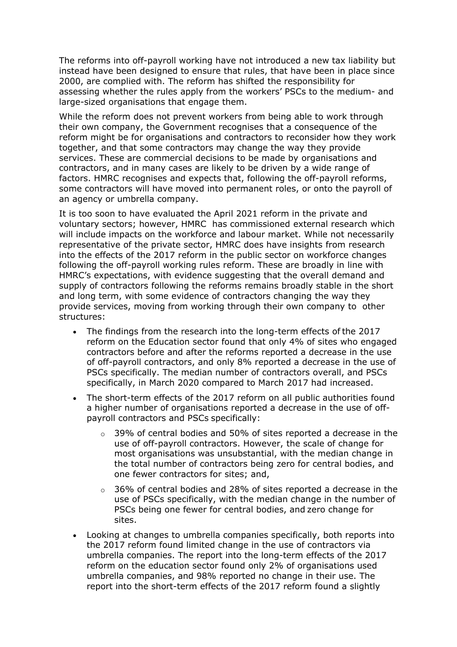The reforms into off-payroll working have not introduced a new tax liability but instead have been designed to ensure that rules, that have been in place since 2000, are complied with. The reform has shifted the responsibility for assessing whether the rules apply from the workers' PSCs to the medium- and large-sized organisations that engage them.

While the reform does not prevent workers from being able to work through their own company, the Government recognises that a consequence of the reform might be for organisations and contractors to reconsider how they work together, and that some contractors may change the way they provide services. These are commercial decisions to be made by organisations and contractors, and in many cases are likely to be driven by a wide range of factors. HMRC recognises and expects that, following the off-payroll reforms, some contractors will have moved into permanent roles, or onto the payroll of an agency or umbrella company.

It is too soon to have evaluated the April 2021 reform in the private and voluntary sectors; however, HMRC has commissioned external research which will include impacts on the workforce and labour market. While not necessarily representative of the private sector, HMRC does have insights from research into the effects of the 2017 reform in the public sector on workforce changes following the off-payroll working rules reform. These are broadly in line with HMRC's expectations, with evidence suggesting that the overall demand and supply of contractors following the reforms remains broadly stable in the short and long term, with some evidence of contractors changing the way they provide services, moving from working through their own company to other structures:

- The findings from the research into the long-term effects of the 2017 reform on the Education sector found that only 4% of sites who engaged contractors before and after the reforms reported a decrease in the use of off-payroll contractors, and only 8% reported a decrease in the use of PSCs specifically. The median number of contractors overall, and PSCs specifically, in March 2020 compared to March 2017 had increased.
- The short-term effects of the 2017 reform on all public authorities found a higher number of organisations reported a decrease in the use of offpayroll contractors and PSCs specifically:
	- $\circ$  39% of central bodies and 50% of sites reported a decrease in the use of off-payroll contractors. However, the scale of change for most organisations was unsubstantial, with the median change in the total number of contractors being zero for central bodies, and one fewer contractors for sites; and,
	- $\circ$  36% of central bodies and 28% of sites reported a decrease in the use of PSCs specifically, with the median change in the number of PSCs being one fewer for central bodies, and zero change for sites.
- Looking at changes to umbrella companies specifically, both reports into the 2017 reform found limited change in the use of contractors via umbrella companies. The report into the long-term effects of the 2017 reform on the education sector found only 2% of organisations used umbrella companies, and 98% reported no change in their use. The report into the short-term effects of the 2017 reform found a slightly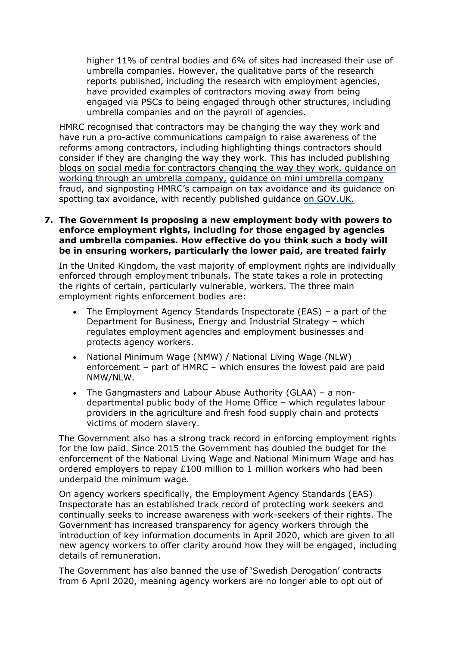higher 11% of central bodies and 6% of sites had increased their use of umbrella companies. However, the qualitative parts of the research reports published, including the research with employment agencies, have provided examples of contractors moving away from being engaged via PSCs to being engaged through other structures, including umbrella companies and on the payroll of agencies.

HMRC recognised that contractors may be changing the way they work and have run a pro-active communications campaign to raise awareness of the reforms among contractors, including highlighting things contractors should consider if they are changing the way they work. This has included publishing [blogs](https://spark.adobe.com/page/aBjqfEnzDfzmp/) [on](https://spark.adobe.com/page/aBjqfEnzDfzmp/) [social](https://spark.adobe.com/page/aBjqfEnzDfzmp/) [media](https://spark.adobe.com/page/aBjqfEnzDfzmp/) [for](https://spark.adobe.com/page/aBjqfEnzDfzmp/) [contractors](https://spark.adobe.com/page/aBjqfEnzDfzmp/) [changing](https://spark.adobe.com/page/aBjqfEnzDfzmp/) [the](https://spark.adobe.com/page/aBjqfEnzDfzmp/) [way](https://spark.adobe.com/page/aBjqfEnzDfzmp/) [they](https://spark.adobe.com/page/aBjqfEnzDfzmp/) [work,](https://spark.adobe.com/page/aBjqfEnzDfzmp/) [guidance](https://www.gov.uk/guidance/working-through-an-umbrella-company) [on](https://www.gov.uk/guidance/working-through-an-umbrella-company) [working](https://www.gov.uk/guidance/working-through-an-umbrella-company) [through](https://www.gov.uk/guidance/working-through-an-umbrella-company) [an](https://www.gov.uk/guidance/working-through-an-umbrella-company) [umbrella](https://www.gov.uk/guidance/working-through-an-umbrella-company) [company,](https://www.gov.uk/guidance/working-through-an-umbrella-company) [guidance](https://www.gov.uk/guidance/mini-umbrella-company-fraud) [on](https://www.gov.uk/guidance/mini-umbrella-company-fraud) [mini](https://www.gov.uk/guidance/mini-umbrella-company-fraud) [umbrella](https://www.gov.uk/guidance/mini-umbrella-company-fraud) [company](https://www.gov.uk/guidance/mini-umbrella-company-fraud) [fraud,](https://www.gov.uk/guidance/mini-umbrella-company-fraud) [a](https://www.gov.uk/guidance/mini-umbrella-company-fraud)nd signposting HMRC's [campaign](https://taxavoidanceexplained.campaign.gov.uk/?utm_source=govuk_case&utm_medium=refferal&utm_campaign=upstream_) [on](https://taxavoidanceexplained.campaign.gov.uk/?utm_source=govuk_case&utm_medium=refferal&utm_campaign=upstream_) [tax](https://taxavoidanceexplained.campaign.gov.uk/?utm_source=govuk_case&utm_medium=refferal&utm_campaign=upstream_) [avoidance](https://taxavoidanceexplained.campaign.gov.uk/?utm_source=govuk_case&utm_medium=refferal&utm_campaign=upstream_) [a](https://taxavoidanceexplained.campaign.gov.uk/?utm_source=govuk_case&utm_medium=refferal&utm_campaign=upstream_)nd its guidance on spotting tax avoidance, with recently published guidance [on](https://www.gov.uk/guidance/agencies-and-other-businesses-using-umbrella-companies-who-may-be-operating-avoidance-schemes) [GOV.UK.](https://www.gov.uk/guidance/agencies-and-other-businesses-using-umbrella-companies-who-may-be-operating-avoidance-schemes)

## **7. The Government is proposing a new employment body with powers to enforce employment rights, including for those engaged by agencies and umbrella companies. How effective do you think such a body will be in ensuring workers, particularly the lower paid, are treated fairly**

In the United Kingdom, the vast majority of employment rights are individually enforced through employment tribunals. The state takes a role in protecting the rights of certain, particularly vulnerable, workers. The three main employment rights enforcement bodies are:

- The Employment Agency Standards Inspectorate (EAS) a part of the Department for Business, Energy and Industrial Strategy – which regulates employment agencies and employment businesses and protects agency workers.
- National Minimum Wage (NMW) / National Living Wage (NLW) enforcement – part of HMRC – which ensures the lowest paid are paid NMW/NLW.
- The Gangmasters and Labour Abuse Authority (GLAA) a nondepartmental public body of the Home Office – which regulates labour providers in the agriculture and fresh food supply chain and protects victims of modern slavery.

The Government also has a strong track record in enforcing employment rights for the low paid. Since 2015 the Government has doubled the budget for the enforcement of the National Living Wage and National Minimum Wage and has ordered employers to repay £100 million to 1 million workers who had been underpaid the minimum wage.

On agency workers specifically, the Employment Agency Standards (EAS) Inspectorate has an established track record of protecting work seekers and continually seeks to increase awareness with work-seekers of their rights. The Government has increased transparency for agency workers through the introduction of key information documents in April 2020, which are given to all new agency workers to offer clarity around how they will be engaged, including details of remuneration.

The Government has also banned the use of 'Swedish Derogation' contracts from 6 April 2020, meaning agency workers are no longer able to opt out of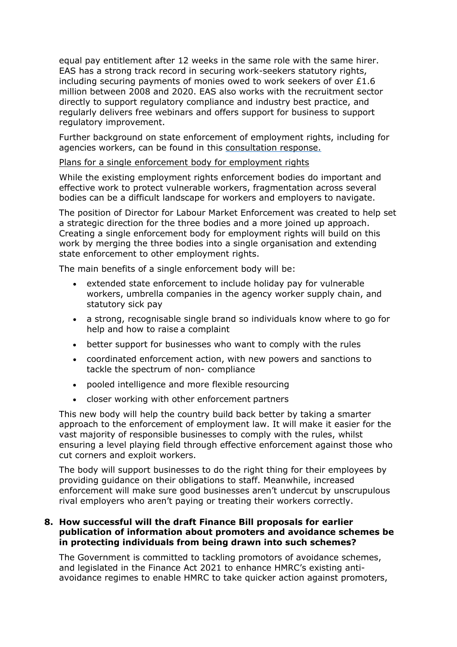equal pay entitlement after 12 weeks in the same role with the same hirer. EAS has a strong track record in securing work-seekers statutory rights, including securing payments of monies owed to work seekers of over £1.6 million between 2008 and 2020. EAS also works with the recruitment sector directly to support regulatory compliance and industry best practice, and regularly delivers free webinars and offers support for business to support regulatory improvement.

Further background on state enforcement of employment rights, including for agencies workers, can be found in this [consultation](https://www.gov.uk/government/consultations/good-work-plan-establishing-a-new-single-enforcement-body-for-employment-rights) [response.](https://www.gov.uk/government/consultations/good-work-plan-establishing-a-new-single-enforcement-body-for-employment-rights)

#### Plans for a single enforcement body for employment rights

While the existing employment rights enforcement bodies do important and effective work to protect vulnerable workers, fragmentation across several bodies can be a difficult landscape for workers and employers to navigate.

The position of Director for Labour Market Enforcement was created to help set a strategic direction for the three bodies and a more joined up approach. Creating a single enforcement body for employment rights will build on this work by merging the three bodies into a single organisation and extending state enforcement to other employment rights.

The main benefits of a single enforcement body will be:

- extended state enforcement to include holiday pay for vulnerable workers, umbrella companies in the agency worker supply chain, and statutory sick pay
- a strong, recognisable single brand so individuals know where to go for help and how to raise a complaint
- better support for businesses who want to comply with the rules
- coordinated enforcement action, with new powers and sanctions to tackle the spectrum of non- compliance
- pooled intelligence and more flexible resourcing
- closer working with other enforcement partners

This new body will help the country build back better by taking a smarter approach to the enforcement of employment law. It will make it easier for the vast majority of responsible businesses to comply with the rules, whilst ensuring a level playing field through effective enforcement against those who cut corners and exploit workers.

The body will support businesses to do the right thing for their employees by providing guidance on their obligations to staff. Meanwhile, increased enforcement will make sure good businesses aren't undercut by unscrupulous rival employers who aren't paying or treating their workers correctly.

## **8. How successful will the draft Finance Bill proposals for earlier publication of information about promoters and avoidance schemes be in protecting individuals from being drawn into such schemes?**

The Government is committed to tackling promotors of avoidance schemes, and legislated in the Finance Act 2021 to enhance HMRC's existing antiavoidance regimes to enable HMRC to take quicker action against promoters,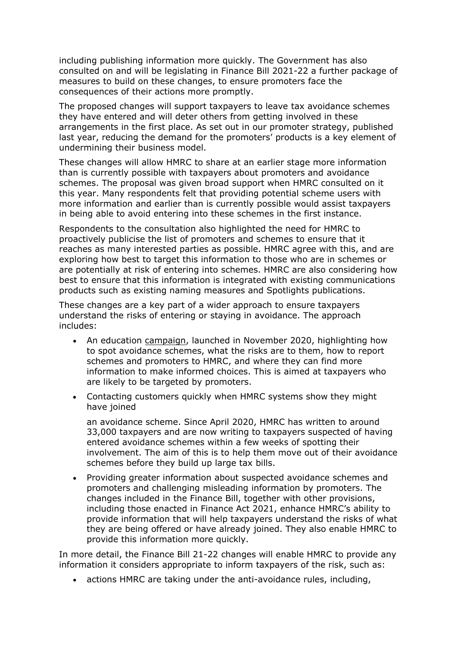including publishing information more quickly. The Government has also consulted on and will be legislating in Finance Bill 2021-22 a further package of measures to build on these changes, to ensure promoters face the consequences of their actions more promptly.

The proposed changes will support taxpayers to leave tax avoidance schemes they have entered and will deter others from getting involved in these arrangements in the first place. As set out in our promoter strategy, published last year, reducing the demand for the promoters' products is a key element of undermining their business model.

These changes will allow HMRC to share at an earlier stage more information than is currently possible with taxpayers about promoters and avoidance schemes. The proposal was given broad support when HMRC consulted on it this year. Many respondents felt that providing potential scheme users with more information and earlier than is currently possible would assist taxpayers in being able to avoid entering into these schemes in the first instance.

Respondents to the consultation also highlighted the need for HMRC to proactively publicise the list of promoters and schemes to ensure that it reaches as many interested parties as possible. HMRC agree with this, and are exploring how best to target this information to those who are in schemes or are potentially at risk of entering into schemes. HMRC are also considering how best to ensure that this information is integrated with existing communications products such as existing naming measures and Spotlights publications.

These changes are a key part of a wider approach to ensure taxpayers understand the risks of entering or staying in avoidance. The approach includes:

- An education [campaign,](https://taxavoidanceexplained.campaign.gov.uk/?utm_source=govuk_case&utm_medium=refferal&utm_campaign=upstream_) launched in November 2020, highlighting how to spot avoidance schemes, what the risks are to them, how to report schemes and promoters to HMRC, and where they can find more information to make informed choices. This is aimed at taxpayers who are likely to be targeted by promoters.
- Contacting customers quickly when HMRC systems show they might have joined

an avoidance scheme. Since April 2020, HMRC has written to around 33,000 taxpayers and are now writing to taxpayers suspected of having entered avoidance schemes within a few weeks of spotting their involvement. The aim of this is to help them move out of their avoidance schemes before they build up large tax bills.

 Providing greater information about suspected avoidance schemes and promoters and challenging misleading information by promoters. The changes included in the Finance Bill, together with other provisions, including those enacted in Finance Act 2021, enhance HMRC's ability to provide information that will help taxpayers understand the risks of what they are being offered or have already joined. They also enable HMRC to provide this information more quickly.

In more detail, the Finance Bill 21-22 changes will enable HMRC to provide any information it considers appropriate to inform taxpayers of the risk, such as:

actions HMRC are taking under the anti-avoidance rules, including,